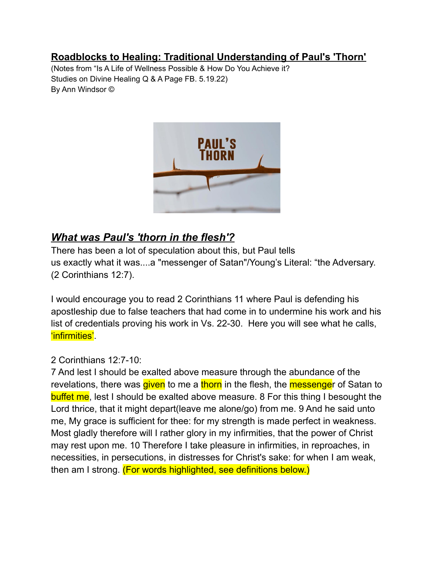# **Roadblocks to Healing: Traditional Understanding of Paul's 'Thorn'**

(Notes from "Is A Life of Wellness Possible & How Do You Achieve it? Studies on Divine Healing Q & A Page FB. 5.19.22) By Ann Windsor ©



# *What was Paul's 'thorn in the flesh'?*

There has been a lot of speculation about this, but Paul tells us exactly what it was....a "messenger of Satan"/Young's Literal: "the Adversary. (2 Corinthians 12:7).

I would encourage you to read 2 Corinthians 11 where Paul is defending his apostleship due to false teachers that had come in to undermine his work and his list of credentials proving his work in Vs. 22-30. Here you will see what he calls, 'infirmities'.

#### 2 Corinthians 12:7-10:

7 And lest I should be exalted above measure through the abundance of the revelations, there was given to me a thorn in the flesh, the messenger of Satan to buffet me, lest I should be exalted above measure. 8 For this thing I besought the Lord thrice, that it might depart(leave me alone/go) from me. 9 And he said unto me, My grace is sufficient for thee: for my strength is made perfect in weakness. Most gladly therefore will I rather glory in my infirmities, that the power of Christ may rest upon me. 10 Therefore I take pleasure in infirmities, in reproaches, in necessities, in persecutions, in distresses for Christ's sake: for when I am weak, then am I strong. (For words highlighted, see definitions below.)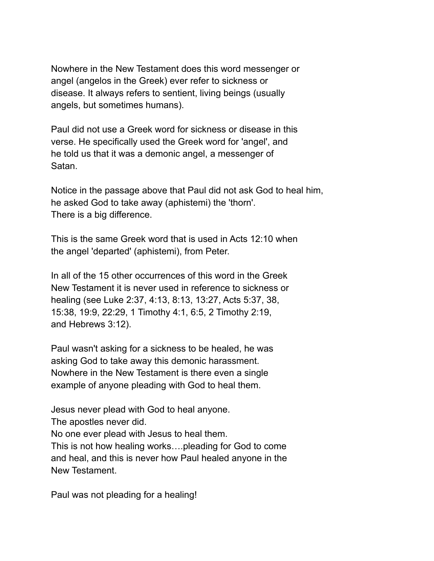Nowhere in the New Testament does this word messenger or angel (angelos in the Greek) ever refer to sickness or disease. It always refers to sentient, living beings (usually angels, but sometimes humans).

Paul did not use a Greek word for sickness or disease in this verse. He specifically used the Greek word for 'angel', and he told us that it was a demonic angel, a messenger of Satan.

Notice in the passage above that Paul did not ask God to heal him, he asked God to take away (aphistemi) the 'thorn'. There is a big difference.

This is the same Greek word that is used in Acts 12:10 when the angel 'departed' (aphistemi), from Peter.

In all of the 15 other occurrences of this word in the Greek New Testament it is never used in reference to sickness or healing (see Luke 2:37, 4:13, 8:13, 13:27, Acts 5:37, 38, 15:38, 19:9, 22:29, 1 Timothy 4:1, 6:5, 2 Timothy 2:19, and Hebrews 3:12).

Paul wasn't asking for a sickness to be healed, he was asking God to take away this demonic harassment. Nowhere in the New Testament is there even a single example of anyone pleading with God to heal them.

Jesus never plead with God to heal anyone.

The apostles never did.

No one ever plead with Jesus to heal them.

This is not how healing works….pleading for God to come and heal, and this is never how Paul healed anyone in the New Testament.

Paul was not pleading for a healing!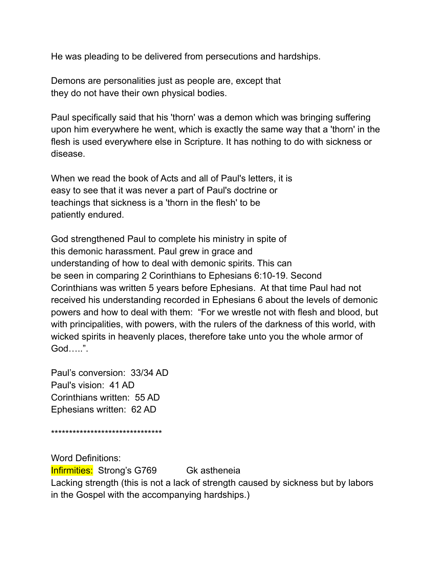He was pleading to be delivered from persecutions and hardships.

Demons are personalities just as people are, except that they do not have their own physical bodies.

Paul specifically said that his 'thorn' was a demon which was bringing suffering upon him everywhere he went, which is exactly the same way that a 'thorn' in the flesh is used everywhere else in Scripture. It has nothing to do with sickness or disease.

When we read the book of Acts and all of Paul's letters, it is easy to see that it was never a part of Paul's doctrine or teachings that sickness is a 'thorn in the flesh' to be patiently endured.

God strengthened Paul to complete his ministry in spite of this demonic harassment. Paul grew in grace and understanding of how to deal with demonic spirits. This can be seen in comparing 2 Corinthians to Ephesians 6:10-19. Second Corinthians was written 5 years before Ephesians. At that time Paul had not received his understanding recorded in Ephesians 6 about the levels of demonic powers and how to deal with them: "For we wrestle not with flesh and blood, but with principalities, with powers, with the rulers of the darkness of this world, with wicked spirits in heavenly places, therefore take unto you the whole armor of God…..".

Paul's conversion: 33/34 AD Paul's vision: 41 AD Corinthians written: 55 AD Ephesians written: 62 AD

\*\*\*\*\*\*\*\*\*\*\*\*\*\*\*\*\*\*\*\*\*\*\*\*\*\*\*\*\*\*\*

Word Definitions: **Infirmities:** Strong's G769 Gk astheneia Lacking strength (this is not a lack of strength caused by sickness but by labors in the Gospel with the accompanying hardships.)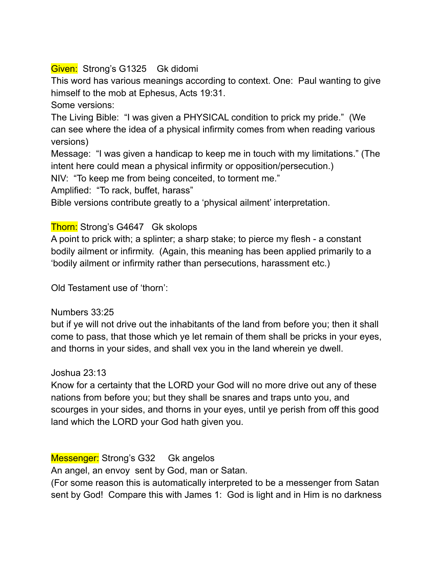## Given: Strong's G1325 Gk didomi

This word has various meanings according to context. One: Paul wanting to give himself to the mob at Ephesus, Acts 19:31.

Some versions:

The Living Bible: "I was given a PHYSICAL condition to prick my pride." (We can see where the idea of a physical infirmity comes from when reading various versions)

Message: "I was given a handicap to keep me in touch with my limitations." (The intent here could mean a physical infirmity or opposition/persecution.)

NIV: "To keep me from being conceited, to torment me."

Amplified: "To rack, buffet, harass"

Bible versions contribute greatly to a 'physical ailment' interpretation.

## Thorn: Strong's G4647 Gk skolops

A point to prick with; a splinter; a sharp stake; to pierce my flesh - a constant bodily ailment or infirmity. (Again, this meaning has been applied primarily to a 'bodily ailment or infirmity rather than persecutions, harassment etc.)

Old Testament use of 'thorn':

#### Numbers 33:25

but if ye will not drive out the inhabitants of the land from before you; then it shall come to pass, that those which ye let remain of them shall be pricks in your eyes, and thorns in your sides, and shall vex you in the land wherein ye dwell.

Joshua 23:13

Know for a certainty that the LORD your God will no more drive out any of these nations from before you; but they shall be snares and traps unto you, and scourges in your sides, and thorns in your eyes, until ye perish from off this good land which the LORD your God hath given you.

Messenger: Strong's G32 Gk angelos

An angel, an envoy sent by God, man or Satan.

(For some reason this is automatically interpreted to be a messenger from Satan sent by God! Compare this with James 1: God is light and in Him is no darkness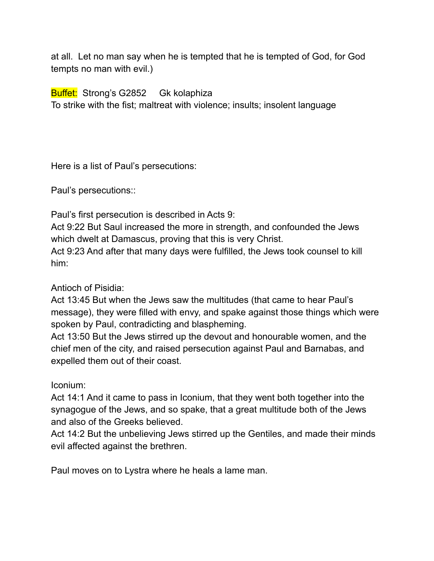at all. Let no man say when he is tempted that he is tempted of God, for God tempts no man with evil.)

Buffet: Strong's G2852 Gk kolaphiza

To strike with the fist; maltreat with violence; insults; insolent language

Here is a list of Paul's persecutions:

Paul's persecutions::

Paul's first persecution is described in Acts 9:

Act 9:22 But Saul increased the more in strength, and confounded the Jews which dwelt at Damascus, proving that this is very Christ.

Act 9:23 And after that many days were fulfilled, the Jews took counsel to kill him:

Antioch of Pisidia:

Act 13:45 But when the Jews saw the multitudes (that came to hear Paul's message), they were filled with envy, and spake against those things which were spoken by Paul, contradicting and blaspheming.

Act 13:50 But the Jews stirred up the devout and honourable women, and the chief men of the city, and raised persecution against Paul and Barnabas, and expelled them out of their coast.

Iconium:

Act 14:1 And it came to pass in Iconium, that they went both together into the synagogue of the Jews, and so spake, that a great multitude both of the Jews and also of the Greeks believed.

Act 14:2 But the unbelieving Jews stirred up the Gentiles, and made their minds evil affected against the brethren.

Paul moves on to Lystra where he heals a lame man.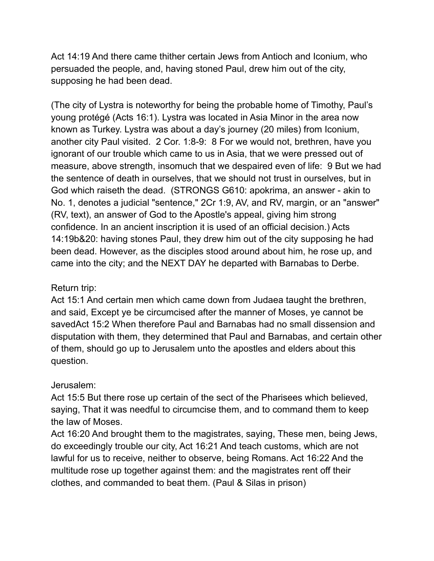Act 14:19 And there came thither certain Jews from Antioch and Iconium, who persuaded the people, and, having stoned Paul, drew him out of the city, supposing he had been dead.

(The city of Lystra is noteworthy for being the probable home of Timothy, Paul's young protégé (Acts 16:1). Lystra was located in Asia Minor in the area now known as Turkey. Lystra was about a day's journey (20 miles) from Iconium, another city Paul visited. 2 Cor. 1:8-9: 8 For we would not, brethren, have you ignorant of our trouble which came to us in Asia, that we were pressed out of measure, above strength, insomuch that we despaired even of life: 9 But we had the sentence of death in ourselves, that we should not trust in ourselves, but in God which raiseth the dead. (STRONGS G610: apokrima, an answer - akin to No. 1, denotes a judicial "sentence," 2Cr 1:9, AV, and RV, margin, or an "answer" (RV, text), an answer of God to the Apostle's appeal, giving him strong confidence. In an ancient inscription it is used of an official decision.) Acts 14:19b&20: having stones Paul, they drew him out of the city supposing he had been dead. However, as the disciples stood around about him, he rose up, and came into the city; and the NEXT DAY he departed with Barnabas to Derbe.

## Return trip:

Act 15:1 And certain men which came down from Judaea taught the brethren, and said, Except ye be circumcised after the manner of Moses, ye cannot be savedAct 15:2 When therefore Paul and Barnabas had no small dissension and disputation with them, they determined that Paul and Barnabas, and certain other of them, should go up to Jerusalem unto the apostles and elders about this question.

#### Jerusalem:

Act 15:5 But there rose up certain of the sect of the Pharisees which believed, saying, That it was needful to circumcise them, and to command them to keep the law of Moses.

Act 16:20 And brought them to the magistrates, saying, These men, being Jews, do exceedingly trouble our city, Act 16:21 And teach customs, which are not lawful for us to receive, neither to observe, being Romans. Act 16:22 And the multitude rose up together against them: and the magistrates rent off their clothes, and commanded to beat them. (Paul & Silas in prison)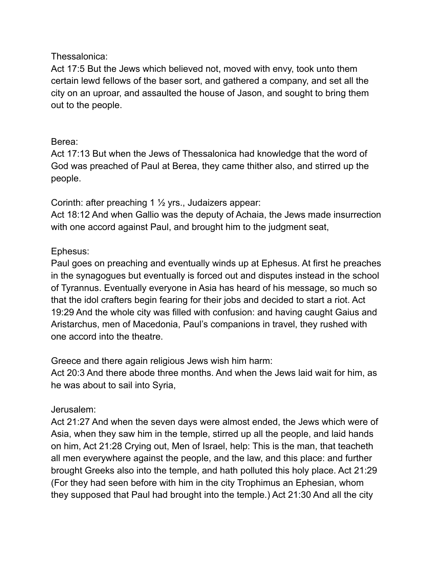#### Thessalonica:

Act 17:5 But the Jews which believed not, moved with envy, took unto them certain lewd fellows of the baser sort, and gathered a company, and set all the city on an uproar, and assaulted the house of Jason, and sought to bring them out to the people.

## Berea:

Act 17:13 But when the Jews of Thessalonica had knowledge that the word of God was preached of Paul at Berea, they came thither also, and stirred up the people.

Corinth: after preaching 1 ½ yrs., Judaizers appear:

Act 18:12 And when Gallio was the deputy of Achaia, the Jews made insurrection with one accord against Paul, and brought him to the judgment seat,

# Ephesus:

Paul goes on preaching and eventually winds up at Ephesus. At first he preaches in the synagogues but eventually is forced out and disputes instead in the school of Tyrannus. Eventually everyone in Asia has heard of his message, so much so that the idol crafters begin fearing for their jobs and decided to start a riot. Act 19:29 And the whole city was filled with confusion: and having caught Gaius and Aristarchus, men of Macedonia, Paul's companions in travel, they rushed with one accord into the theatre.

Greece and there again religious Jews wish him harm:

Act 20:3 And there abode three months. And when the Jews laid wait for him, as he was about to sail into Syria,

## Jerusalem:

Act 21:27 And when the seven days were almost ended, the Jews which were of Asia, when they saw him in the temple, stirred up all the people, and laid hands on him, Act 21:28 Crying out, Men of Israel, help: This is the man, that teacheth all men everywhere against the people, and the law, and this place: and further brought Greeks also into the temple, and hath polluted this holy place. Act 21:29 (For they had seen before with him in the city Trophimus an Ephesian, whom they supposed that Paul had brought into the temple.) Act 21:30 And all the city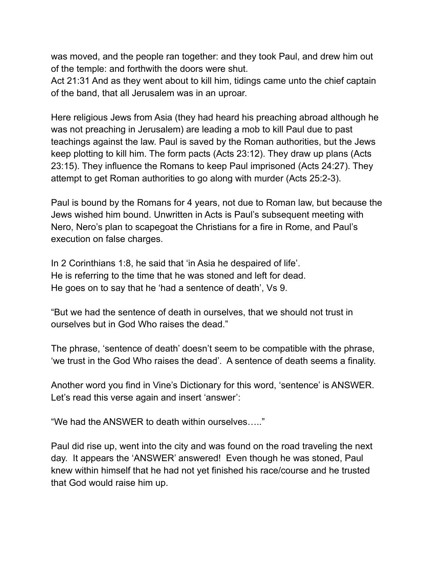was moved, and the people ran together: and they took Paul, and drew him out of the temple: and forthwith the doors were shut.

Act 21:31 And as they went about to kill him, tidings came unto the chief captain of the band, that all Jerusalem was in an uproar.

Here religious Jews from Asia (they had heard his preaching abroad although he was not preaching in Jerusalem) are leading a mob to kill Paul due to past teachings against the law. Paul is saved by the Roman authorities, but the Jews keep plotting to kill him. The form pacts (Acts 23:12). They draw up plans (Acts 23:15). They influence the Romans to keep Paul imprisoned (Acts 24:27). They attempt to get Roman authorities to go along with murder (Acts 25:2-3).

Paul is bound by the Romans for 4 years, not due to Roman law, but because the Jews wished him bound. Unwritten in Acts is Paul's subsequent meeting with Nero, Nero's plan to scapegoat the Christians for a fire in Rome, and Paul's execution on false charges.

In 2 Corinthians 1:8, he said that 'in Asia he despaired of life'. He is referring to the time that he was stoned and left for dead. He goes on to say that he 'had a sentence of death', Vs 9.

"But we had the sentence of death in ourselves, that we should not trust in ourselves but in God Who raises the dead."

The phrase, 'sentence of death' doesn't seem to be compatible with the phrase, 'we trust in the God Who raises the dead'. A sentence of death seems a finality.

Another word you find in Vine's Dictionary for this word, 'sentence' is ANSWER. Let's read this verse again and insert 'answer':

"We had the ANSWER to death within ourselves….."

Paul did rise up, went into the city and was found on the road traveling the next day. It appears the 'ANSWER' answered! Even though he was stoned, Paul knew within himself that he had not yet finished his race/course and he trusted that God would raise him up.